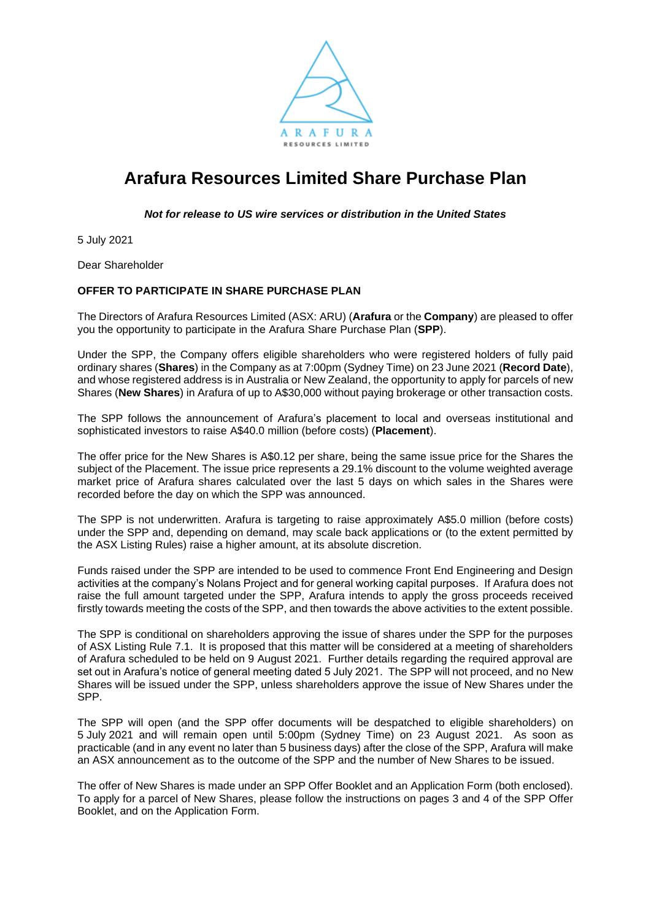

# **Arafura Resources Limited Share Purchase Plan**

*Not for release to US wire services or distribution in the United States*

5 July 2021

Dear Shareholder

## **OFFER TO PARTICIPATE IN SHARE PURCHASE PLAN**

The Directors of Arafura Resources Limited (ASX: ARU) (**Arafura** or the **Company**) are pleased to offer you the opportunity to participate in the Arafura Share Purchase Plan (**SPP**).

Under the SPP, the Company offers eligible shareholders who were registered holders of fully paid ordinary shares (**Shares**) in the Company as at 7:00pm (Sydney Time) on 23 June 2021 (**Record Date**), and whose registered address is in Australia or New Zealand, the opportunity to apply for parcels of new Shares (**New Shares**) in Arafura of up to A\$30,000 without paying brokerage or other transaction costs.

The SPP follows the announcement of Arafura's placement to local and overseas institutional and sophisticated investors to raise A\$40.0 million (before costs) (**Placement**).

The offer price for the New Shares is A\$0.12 per share, being the same issue price for the Shares the subject of the Placement. The issue price represents a 29.1% discount to the volume weighted average market price of Arafura shares calculated over the last 5 days on which sales in the Shares were recorded before the day on which the SPP was announced.

The SPP is not underwritten. Arafura is targeting to raise approximately A\$5.0 million (before costs) under the SPP and, depending on demand, may scale back applications or (to the extent permitted by the ASX Listing Rules) raise a higher amount, at its absolute discretion.

Funds raised under the SPP are intended to be used to commence Front End Engineering and Design activities at the company's Nolans Project and for general working capital purposes. If Arafura does not raise the full amount targeted under the SPP, Arafura intends to apply the gross proceeds received firstly towards meeting the costs of the SPP, and then towards the above activities to the extent possible.

The SPP is conditional on shareholders approving the issue of shares under the SPP for the purposes of ASX Listing Rule 7.1. It is proposed that this matter will be considered at a meeting of shareholders of Arafura scheduled to be held on 9 August 2021. Further details regarding the required approval are set out in Arafura's notice of general meeting dated 5 July 2021. The SPP will not proceed, and no New Shares will be issued under the SPP, unless shareholders approve the issue of New Shares under the SPP.

The SPP will open (and the SPP offer documents will be despatched to eligible shareholders) on 5 July 2021 and will remain open until 5:00pm (Sydney Time) on 23 August 2021. As soon as practicable (and in any event no later than 5 business days) after the close of the SPP, Arafura will make an ASX announcement as to the outcome of the SPP and the number of New Shares to be issued.

The offer of New Shares is made under an SPP Offer Booklet and an Application Form (both enclosed). To apply for a parcel of New Shares, please follow the instructions on pages 3 and 4 of the SPP Offer Booklet, and on the Application Form.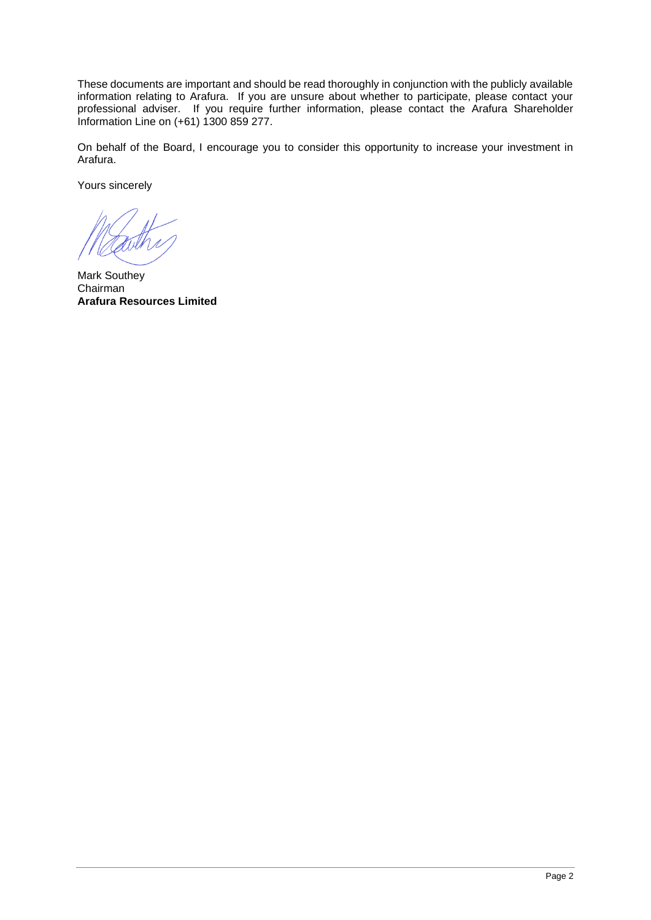These documents are important and should be read thoroughly in conjunction with the publicly available information relating to Arafura. If you are unsure about whether to participate, please contact your professional adviser. If you require further information, please contact the Arafura Shareholder Information Line on (+61) 1300 859 277.

On behalf of the Board, I encourage you to consider this opportunity to increase your investment in Arafura.

Yours sincerely

Mark Southey Chairman **Arafura Resources Limited**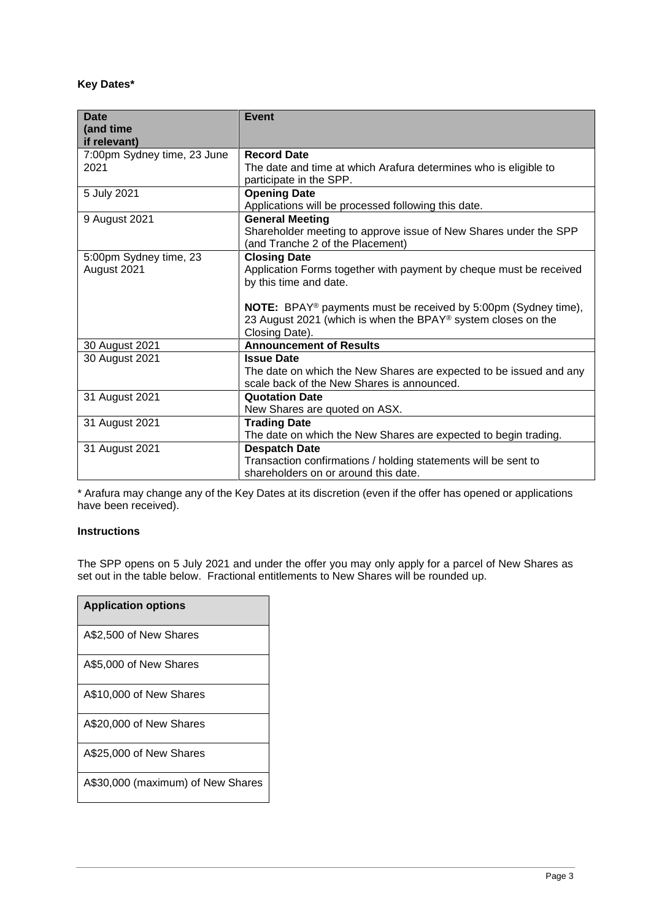# **Key Dates\***

| <b>Date</b>                 | <b>Event</b>                                                                                         |
|-----------------------------|------------------------------------------------------------------------------------------------------|
| (and time                   |                                                                                                      |
| if relevant)                |                                                                                                      |
| 7:00pm Sydney time, 23 June | <b>Record Date</b>                                                                                   |
| 2021                        | The date and time at which Arafura determines who is eligible to                                     |
|                             | participate in the SPP.                                                                              |
| 5 July 2021                 | <b>Opening Date</b>                                                                                  |
|                             | Applications will be processed following this date.                                                  |
| 9 August 2021               | <b>General Meeting</b>                                                                               |
|                             | Shareholder meeting to approve issue of New Shares under the SPP<br>(and Tranche 2 of the Placement) |
| 5:00pm Sydney time, 23      | <b>Closing Date</b>                                                                                  |
| August 2021                 | Application Forms together with payment by cheque must be received                                   |
|                             | by this time and date.                                                                               |
|                             |                                                                                                      |
|                             | NOTE: BPAY® payments must be received by 5:00pm (Sydney time),                                       |
|                             | 23 August 2021 (which is when the BPAY® system closes on the                                         |
|                             | Closing Date).                                                                                       |
| 30 August 2021              | <b>Announcement of Results</b>                                                                       |
| 30 August 2021              | <b>Issue Date</b>                                                                                    |
|                             | The date on which the New Shares are expected to be issued and any                                   |
|                             | scale back of the New Shares is announced.                                                           |
| 31 August 2021              | <b>Quotation Date</b>                                                                                |
|                             | New Shares are quoted on ASX.                                                                        |
| 31 August 2021              | <b>Trading Date</b>                                                                                  |
|                             | The date on which the New Shares are expected to begin trading.                                      |
| 31 August 2021              | <b>Despatch Date</b>                                                                                 |
|                             | Transaction confirmations / holding statements will be sent to                                       |
|                             | shareholders on or around this date.                                                                 |

\* Arafura may change any of the Key Dates at its discretion (even if the offer has opened or applications have been received).

#### **Instructions**

The SPP opens on 5 July 2021 and under the offer you may only apply for a parcel of New Shares as set out in the table below. Fractional entitlements to New Shares will be rounded up.

| <b>Application options</b>        |
|-----------------------------------|
| A\$2,500 of New Shares            |
| A\$5,000 of New Shares            |
| A\$10,000 of New Shares           |
| A\$20,000 of New Shares           |
| A\$25,000 of New Shares           |
| A\$30,000 (maximum) of New Shares |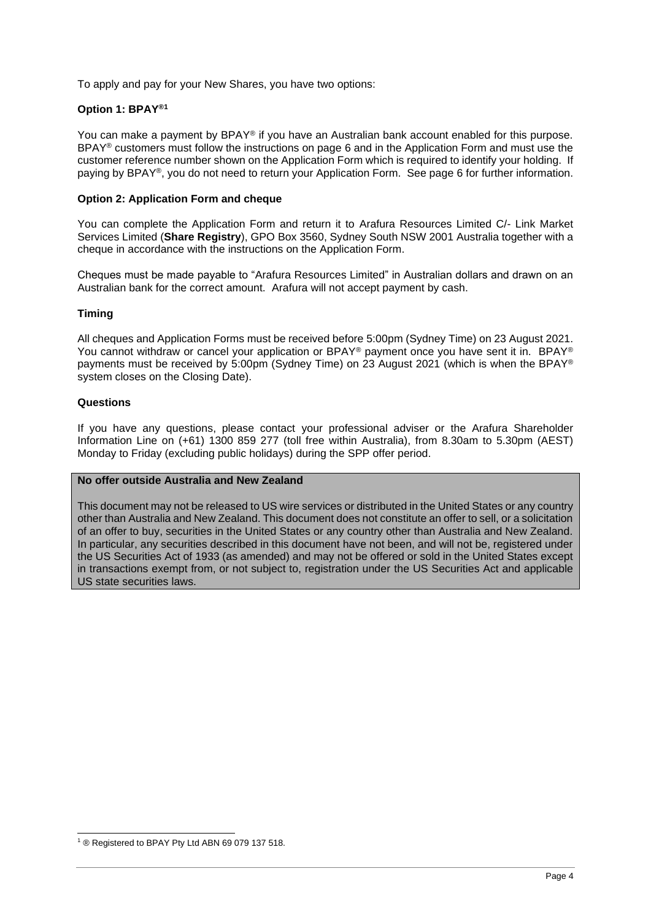To apply and pay for your New Shares, you have two options:

## **Option 1: BPAY®1**

You can make a payment by BPAY® if you have an Australian bank account enabled for this purpose. BPAY<sup>®</sup> customers must follow the instructions on page [6](#page-5-0) and in the Application Form and must use the customer reference number shown on the Application Form which is required to identify your holding. If paying by BPAY®, you do not need to return your Application Form. See page [6](#page-5-0) for further information.

#### **Option 2: Application Form and cheque**

You can complete the Application Form and return it to Arafura Resources Limited C/- Link Market Services Limited (**Share Registry**), GPO Box 3560, Sydney South NSW 2001 Australia together with a cheque in accordance with the instructions on the Application Form.

Cheques must be made payable to "Arafura Resources Limited" in Australian dollars and drawn on an Australian bank for the correct amount. Arafura will not accept payment by cash.

#### **Timing**

All cheques and Application Forms must be received before 5:00pm (Sydney Time) on 23 August 2021. You cannot withdraw or cancel your application or BPAY® payment once you have sent it in. BPAY® payments must be received by 5:00pm (Sydney Time) on 23 August 2021 (which is when the BPAY® system closes on the Closing Date).

#### **Questions**

If you have any questions, please contact your professional adviser or the Arafura Shareholder Information Line on (+61) 1300 859 277 (toll free within Australia), from 8.30am to 5.30pm (AEST) Monday to Friday (excluding public holidays) during the SPP offer period.

#### **No offer outside Australia and New Zealand**

This document may not be released to US wire services or distributed in the United States or any country other than Australia and New Zealand. This document does not constitute an offer to sell, or a solicitation of an offer to buy, securities in the United States or any country other than Australia and New Zealand. In particular, any securities described in this document have not been, and will not be, registered under the US Securities Act of 1933 (as amended) and may not be offered or sold in the United States except in transactions exempt from, or not subject to, registration under the US Securities Act and applicable US state securities laws.

<sup>1</sup> ® Registered to BPAY Pty Ltd ABN 69 079 137 518.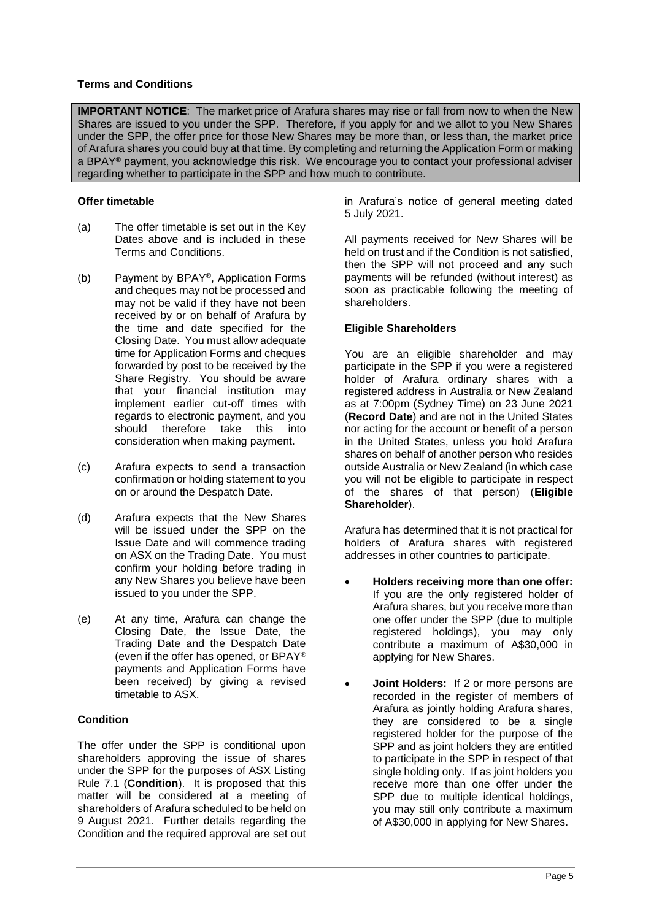## **Terms and Conditions**

**IMPORTANT NOTICE:** The market price of Arafura shares may rise or fall from now to when the New Shares are issued to you under the SPP. Therefore, if you apply for and we allot to you New Shares under the SPP, the offer price for those New Shares may be more than, or less than, the market price of Arafura shares you could buy at that time. By completing and returning the Application Form or making a BPAY® payment, you acknowledge this risk. We encourage you to contact your professional adviser regarding whether to participate in the SPP and how much to contribute.

## **Offer timetable**

- (a) The offer timetable is set out in the Key Dates above and is included in these Terms and Conditions.
- (b) Payment by BPAY®, Application Forms and cheques may not be processed and may not be valid if they have not been received by or on behalf of Arafura by the time and date specified for the Closing Date. You must allow adequate time for Application Forms and cheques forwarded by post to be received by the Share Registry. You should be aware that your financial institution may implement earlier cut-off times with regards to electronic payment, and you should therefore take this into consideration when making payment.
- (c) Arafura expects to send a transaction confirmation or holding statement to you on or around the Despatch Date.
- (d) Arafura expects that the New Shares will be issued under the SPP on the Issue Date and will commence trading on ASX on the Trading Date. You must confirm your holding before trading in any New Shares you believe have been issued to you under the SPP.
- (e) At any time, Arafura can change the Closing Date, the Issue Date, the Trading Date and the Despatch Date (even if the offer has opened, or BPAY® payments and Application Forms have been received) by giving a revised timetable to ASX.

# **Condition**

The offer under the SPP is conditional upon shareholders approving the issue of shares under the SPP for the purposes of ASX Listing Rule 7.1 (**Condition**). It is proposed that this matter will be considered at a meeting of shareholders of Arafura scheduled to be held on 9 August 2021. Further details regarding the Condition and the required approval are set out

in Arafura's notice of general meeting dated 5 July 2021.

All payments received for New Shares will be held on trust and if the Condition is not satisfied, then the SPP will not proceed and any such payments will be refunded (without interest) as soon as practicable following the meeting of shareholders.

## **Eligible Shareholders**

You are an eligible shareholder and may participate in the SPP if you were a registered holder of Arafura ordinary shares with a registered address in Australia or New Zealand as at 7:00pm (Sydney Time) on 23 June 2021 (**Record Date**) and are not in the United States nor acting for the account or benefit of a person in the United States, unless you hold Arafura shares on behalf of another person who resides outside Australia or New Zealand (in which case you will not be eligible to participate in respect of the shares of that person) (**Eligible Shareholder**).

Arafura has determined that it is not practical for holders of Arafura shares with registered addresses in other countries to participate.

- **Holders receiving more than one offer:** If you are the only registered holder of Arafura shares, but you receive more than one offer under the SPP (due to multiple registered holdings), you may only contribute a maximum of A\$30,000 in applying for New Shares.
- **Joint Holders:** If 2 or more persons are recorded in the register of members of Arafura as jointly holding Arafura shares, they are considered to be a single registered holder for the purpose of the SPP and as joint holders they are entitled to participate in the SPP in respect of that single holding only. If as joint holders you receive more than one offer under the SPP due to multiple identical holdings, you may still only contribute a maximum of A\$30,000 in applying for New Shares.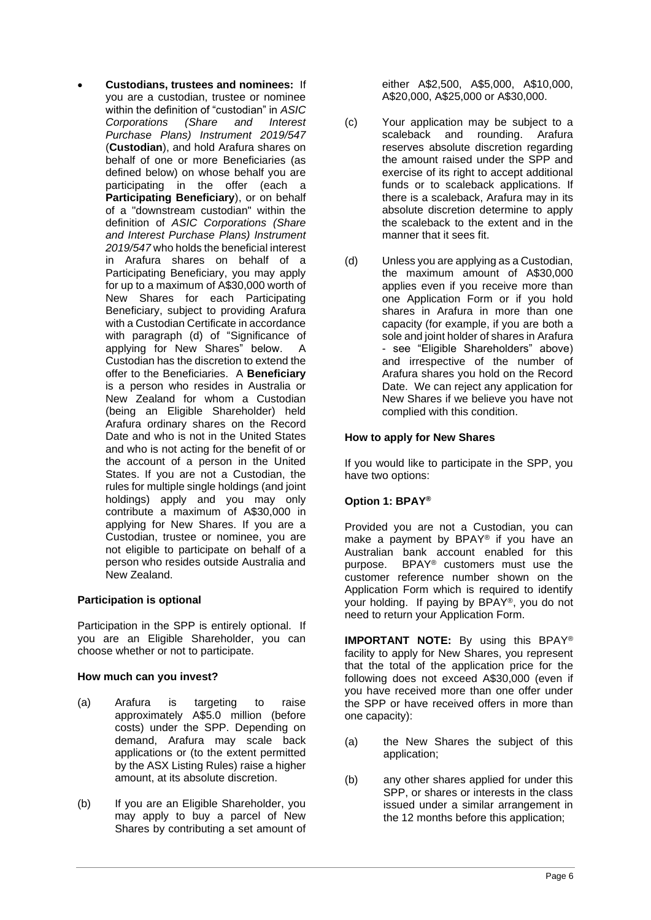• **Custodians, trustees and nominees:** If you are a custodian, trustee or nominee within the definition of "custodian" in *ASIC Corporations (Share and Interest Purchase Plans) Instrument 2019/547* (**Custodian**), and hold Arafura shares on behalf of one or more Beneficiaries (as defined below) on whose behalf you are participating in the offer (each a **Participating Beneficiary**), or on behalf of a "downstream custodian" within the definition of *ASIC Corporations (Share and Interest Purchase Plans) Instrument 2019/547* who holds the beneficial interest in Arafura shares on behalf of a Participating Beneficiary, you may apply for up to a maximum of A\$30,000 worth of New Shares for each Participating Beneficiary, subject to providing Arafura with a Custodian Certificate in accordance with paragraph [\(d\)](#page-7-0) of ["Significance of](#page-7-1)  [applying for New Shares"](#page-7-1) below. A Custodian has the discretion to extend the offer to the Beneficiaries. A **Beneficiary**  is a person who resides in Australia or New Zealand for whom a Custodian (being an Eligible Shareholder) held Arafura ordinary shares on the Record Date and who is not in the United States and who is not acting for the benefit of or the account of a person in the United States. If you are not a Custodian, the rules for multiple single holdings (and joint holdings) apply and you may only contribute a maximum of A\$30,000 in applying for New Shares. If you are a Custodian, trustee or nominee, you are not eligible to participate on behalf of a person who resides outside Australia and New Zealand.

#### **Participation is optional**

Participation in the SPP is entirely optional. If you are an Eligible Shareholder, you can choose whether or not to participate.

#### **How much can you invest?**

- (a) Arafura is targeting to raise approximately A\$5.0 million (before costs) under the SPP. Depending on demand, Arafura may scale back applications or (to the extent permitted by the ASX Listing Rules) raise a higher amount, at its absolute discretion.
- (b) If you are an Eligible Shareholder, you may apply to buy a parcel of New Shares by contributing a set amount of

either A\$2,500, A\$5,000, A\$10,000, A\$20,000, A\$25,000 or A\$30,000.

- (c) Your application may be subject to a scaleback and rounding. Arafura reserves absolute discretion regarding the amount raised under the SPP and exercise of its right to accept additional funds or to scaleback applications. If there is a scaleback, Arafura may in its absolute discretion determine to apply the scaleback to the extent and in the manner that it sees fit.
- (d) Unless you are applying as a Custodian, the maximum amount of A\$30,000 applies even if you receive more than one Application Form or if you hold shares in Arafura in more than one capacity (for example, if you are both a sole and joint holder of shares in Arafura - see "Eligible Shareholders" above) and irrespective of the number of Arafura shares you hold on the Record Date. We can reject any application for New Shares if we believe you have not complied with this condition.

## **How to apply for New Shares**

If you would like to participate in the SPP, you have two options:

# <span id="page-5-0"></span>**Option 1: BPAY®**

Provided you are not a Custodian, you can make a payment by BPAY® if you have an Australian bank account enabled for this purpose. BPAY® customers must use the customer reference number shown on the Application Form which is required to identify your holding. If paying by BPAY®, you do not need to return your Application Form.

**IMPORTANT NOTE:** By using this BPAY® facility to apply for New Shares, you represent that the total of the application price for the following does not exceed A\$30,000 (even if you have received more than one offer under the SPP or have received offers in more than one capacity):

- (a) the New Shares the subject of this application;
- (b) any other shares applied for under this SPP, or shares or interests in the class issued under a similar arrangement in the 12 months before this application;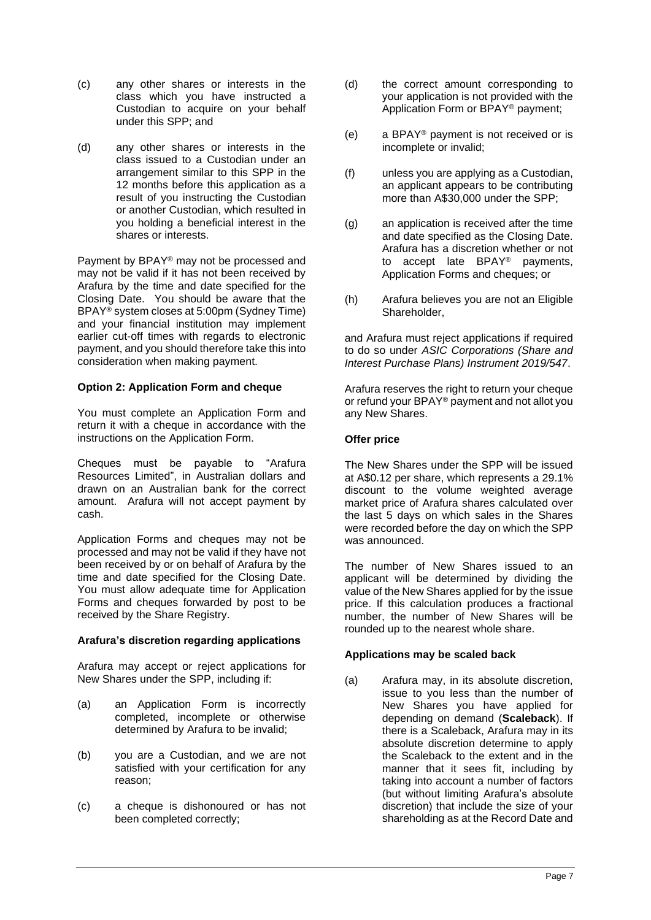- (c) any other shares or interests in the class which you have instructed a Custodian to acquire on your behalf under this SPP; and
- (d) any other shares or interests in the class issued to a Custodian under an arrangement similar to this SPP in the 12 months before this application as a result of you instructing the Custodian or another Custodian, which resulted in you holding a beneficial interest in the shares or interests.

Payment by BPAY® may not be processed and may not be valid if it has not been received by Arafura by the time and date specified for the Closing Date. You should be aware that the BPAY® system closes at 5:00pm (Sydney Time) and your financial institution may implement earlier cut-off times with regards to electronic payment, and you should therefore take this into consideration when making payment.

#### **Option 2: Application Form and cheque**

You must complete an Application Form and return it with a cheque in accordance with the instructions on the Application Form.

Cheques must be payable to "Arafura Resources Limited", in Australian dollars and drawn on an Australian bank for the correct amount. Arafura will not accept payment by cash.

Application Forms and cheques may not be processed and may not be valid if they have not been received by or on behalf of Arafura by the time and date specified for the Closing Date. You must allow adequate time for Application Forms and cheques forwarded by post to be received by the Share Registry.

# **Arafura's discretion regarding applications**

Arafura may accept or reject applications for New Shares under the SPP, including if:

- (a) an Application Form is incorrectly completed, incomplete or otherwise determined by Arafura to be invalid;
- (b) you are a Custodian, and we are not satisfied with your certification for any reason;
- (c) a cheque is dishonoured or has not been completed correctly;
- (d) the correct amount corresponding to your application is not provided with the Application Form or BPAY® payment;
- (e) a BPAY® payment is not received or is incomplete or invalid;
- (f) unless you are applying as a Custodian, an applicant appears to be contributing more than A\$30,000 under the SPP;
- (g) an application is received after the time and date specified as the Closing Date. Arafura has a discretion whether or not to accept late BPAY® payments, Application Forms and cheques; or
- (h) Arafura believes you are not an Eligible Shareholder,

and Arafura must reject applications if required to do so under *ASIC Corporations (Share and Interest Purchase Plans) Instrument 2019/547*.

Arafura reserves the right to return your cheque or refund your BPAY® payment and not allot you any New Shares.

## **Offer price**

The New Shares under the SPP will be issued at A\$0.12 per share, which represents a 29.1% discount to the volume weighted average market price of Arafura shares calculated over the last 5 days on which sales in the Shares were recorded before the day on which the SPP was announced.

The number of New Shares issued to an applicant will be determined by dividing the value of the New Shares applied for by the issue price. If this calculation produces a fractional number, the number of New Shares will be rounded up to the nearest whole share.

#### **Applications may be scaled back**

(a) Arafura may, in its absolute discretion, issue to you less than the number of New Shares you have applied for depending on demand (**Scaleback**). If there is a Scaleback, Arafura may in its absolute discretion determine to apply the Scaleback to the extent and in the manner that it sees fit, including by taking into account a number of factors (but without limiting Arafura's absolute discretion) that include the size of your shareholding as at the Record Date and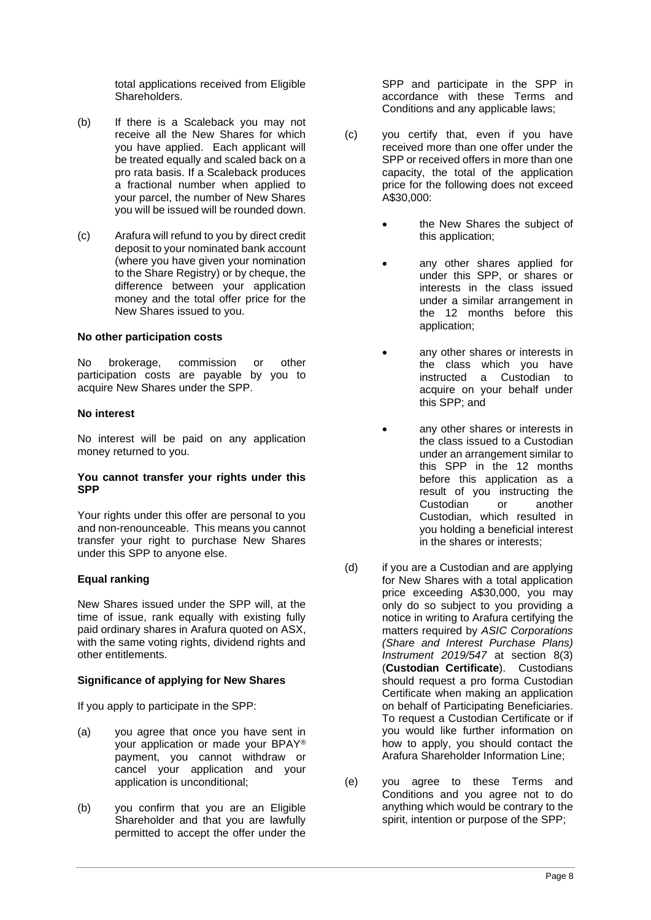total applications received from Eligible Shareholders.

- (b) If there is a Scaleback you may not receive all the New Shares for which you have applied. Each applicant will be treated equally and scaled back on a pro rata basis. If a Scaleback produces a fractional number when applied to your parcel, the number of New Shares you will be issued will be rounded down.
- (c) Arafura will refund to you by direct credit deposit to your nominated bank account (where you have given your nomination to the Share Registry) or by cheque, the difference between your application money and the total offer price for the New Shares issued to you.

#### **No other participation costs**

No brokerage, commission or other participation costs are payable by you to acquire New Shares under the SPP.

#### **No interest**

No interest will be paid on any application money returned to you.

#### **You cannot transfer your rights under this SPP**

Your rights under this offer are personal to you and non-renounceable. This means you cannot transfer your right to purchase New Shares under this SPP to anyone else.

#### **Equal ranking**

New Shares issued under the SPP will, at the time of issue, rank equally with existing fully paid ordinary shares in Arafura quoted on ASX, with the same voting rights, dividend rights and other entitlements.

#### <span id="page-7-1"></span>**Significance of applying for New Shares**

If you apply to participate in the SPP:

- (a) you agree that once you have sent in your application or made your BPAY® payment, you cannot withdraw or cancel your application and your application is unconditional;
- (b) you confirm that you are an Eligible Shareholder and that you are lawfully permitted to accept the offer under the

SPP and participate in the SPP in accordance with these Terms and Conditions and any applicable laws;

- (c) you certify that, even if you have received more than one offer under the SPP or received offers in more than one capacity, the total of the application price for the following does not exceed A\$30,000:
	- the New Shares the subject of this application;
	- any other shares applied for under this SPP, or shares or interests in the class issued under a similar arrangement in the 12 months before this application;
	- any other shares or interests in the class which you have instructed a Custodian to acquire on your behalf under this SPP; and
	- any other shares or interests in the class issued to a Custodian under an arrangement similar to this SPP in the 12 months before this application as a result of you instructing the Custodian or another Custodian, which resulted in you holding a beneficial interest in the shares or interests;
- <span id="page-7-0"></span>(d) if you are a Custodian and are applying for New Shares with a total application price exceeding A\$30,000, you may only do so subject to you providing a notice in writing to Arafura certifying the matters required by *ASIC Corporations (Share and Interest Purchase Plans) Instrument 2019/547* at section 8(3) (**Custodian Certificate**). Custodians should request a pro forma Custodian Certificate when making an application on behalf of Participating Beneficiaries. To request a Custodian Certificate or if you would like further information on how to apply, you should contact the Arafura Shareholder Information Line;
- (e) you agree to these Terms and Conditions and you agree not to do anything which would be contrary to the spirit, intention or purpose of the SPP;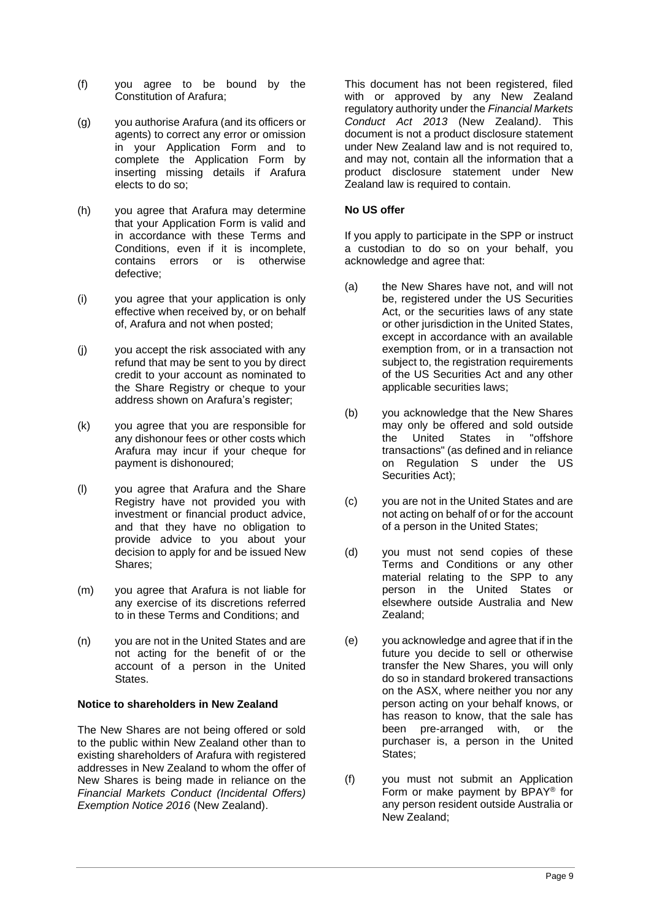- (f) you agree to be bound by the Constitution of Arafura;
- (g) you authorise Arafura (and its officers or agents) to correct any error or omission in your Application Form and to complete the Application Form by inserting missing details if Arafura elects to do so;
- (h) you agree that Arafura may determine that your Application Form is valid and in accordance with these Terms and Conditions, even if it is incomplete,<br>contains errors or is otherwise contains errors or is defective;
- (i) you agree that your application is only effective when received by, or on behalf of, Arafura and not when posted;
- (j) you accept the risk associated with any refund that may be sent to you by direct credit to your account as nominated to the Share Registry or cheque to your address shown on Arafura's register;
- (k) you agree that you are responsible for any dishonour fees or other costs which Arafura may incur if your cheque for payment is dishonoured;
- (l) you agree that Arafura and the Share Registry have not provided you with investment or financial product advice, and that they have no obligation to provide advice to you about your decision to apply for and be issued New Shares;
- (m) you agree that Arafura is not liable for any exercise of its discretions referred to in these Terms and Conditions; and
- (n) you are not in the United States and are not acting for the benefit of or the account of a person in the United **States**

#### **Notice to shareholders in New Zealand**

The New Shares are not being offered or sold to the public within New Zealand other than to existing shareholders of Arafura with registered addresses in New Zealand to whom the offer of New Shares is being made in reliance on the *Financial Markets Conduct (Incidental Offers) Exemption Notice 2016* (New Zealand).

This document has not been registered, filed with or approved by any New Zealand regulatory authority under the *Financial Markets Conduct Act 2013* (New Zealand*)*. This document is not a product disclosure statement under New Zealand law and is not required to, and may not, contain all the information that a product disclosure statement under New Zealand law is required to contain.

## **No US offer**

If you apply to participate in the SPP or instruct a custodian to do so on your behalf, you acknowledge and agree that:

- (a) the New Shares have not, and will not be, registered under the US Securities Act, or the securities laws of any state or other jurisdiction in the United States, except in accordance with an available exemption from, or in a transaction not subject to, the registration requirements of the US Securities Act and any other applicable securities laws;
- (b) you acknowledge that the New Shares may only be offered and sold outside<br>the United States in "offshore the United transactions" (as defined and in reliance on Regulation S under the US Securities Act);
- (c) you are not in the United States and are not acting on behalf of or for the account of a person in the United States;
- (d) you must not send copies of these Terms and Conditions or any other material relating to the SPP to any person in the United States or elsewhere outside Australia and New Zealand;
- (e) you acknowledge and agree that if in the future you decide to sell or otherwise transfer the New Shares, you will only do so in standard brokered transactions on the ASX, where neither you nor any person acting on your behalf knows, or has reason to know, that the sale has been pre-arranged with, or the purchaser is, a person in the United States;
- (f) you must not submit an Application Form or make payment by BPAY® for any person resident outside Australia or New Zealand;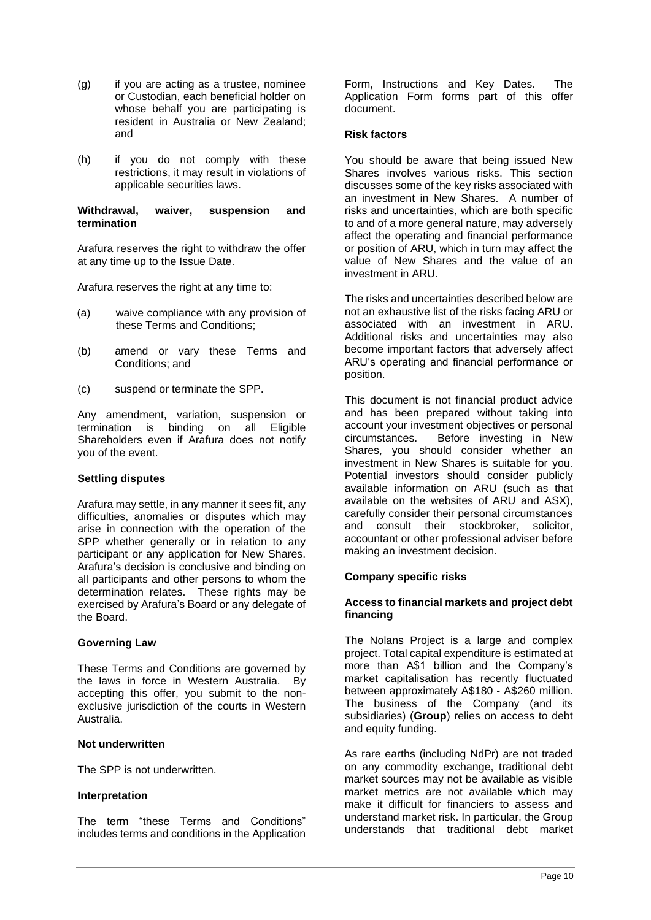- (g) if you are acting as a trustee, nominee or Custodian, each beneficial holder on whose behalf you are participating is resident in Australia or New Zealand; and
- (h) if you do not comply with these restrictions, it may result in violations of applicable securities laws.

#### **Withdrawal, waiver, suspension and termination**

Arafura reserves the right to withdraw the offer at any time up to the Issue Date.

Arafura reserves the right at any time to:

- (a) waive compliance with any provision of these Terms and Conditions;
- (b) amend or vary these Terms and Conditions; and
- (c) suspend or terminate the SPP.

Any amendment, variation, suspension or termination is binding on all Eligible Shareholders even if Arafura does not notify you of the event.

#### **Settling disputes**

Arafura may settle, in any manner it sees fit, any difficulties, anomalies or disputes which may arise in connection with the operation of the SPP whether generally or in relation to any participant or any application for New Shares. Arafura's decision is conclusive and binding on all participants and other persons to whom the determination relates. These rights may be exercised by Arafura's Board or any delegate of the Board.

#### **Governing Law**

These Terms and Conditions are governed by the laws in force in Western Australia. By accepting this offer, you submit to the nonexclusive jurisdiction of the courts in Western Australia.

#### **Not underwritten**

The SPP is not underwritten.

#### **Interpretation**

The term "these Terms and Conditions" includes terms and conditions in the Application Form, Instructions and Key Dates. The Application Form forms part of this offer document.

#### **Risk factors**

You should be aware that being issued New Shares involves various risks. This section discusses some of the key risks associated with an investment in New Shares. A number of risks and uncertainties, which are both specific to and of a more general nature, may adversely affect the operating and financial performance or position of ARU, which in turn may affect the value of New Shares and the value of an investment in ARU.

The risks and uncertainties described below are not an exhaustive list of the risks facing ARU or associated with an investment in ARU. Additional risks and uncertainties may also become important factors that adversely affect ARU's operating and financial performance or position.

This document is not financial product advice and has been prepared without taking into account your investment objectives or personal<br>circumstances. Before investing in New Before investing in New Shares, you should consider whether an investment in New Shares is suitable for you. Potential investors should consider publicly available information on ARU (such as that available on the websites of ARU and ASX), carefully consider their personal circumstances and consult their stockbroker, solicitor, accountant or other professional adviser before making an investment decision.

#### **Company specific risks**

#### **Access to financial markets and project debt financing**

The Nolans Project is a large and complex project. Total capital expenditure is estimated at more than A\$1 billion and the Company's market capitalisation has recently fluctuated between approximately A\$180 - A\$260 million. The business of the Company (and its subsidiaries) (**Group**) relies on access to debt and equity funding.

As rare earths (including NdPr) are not traded on any commodity exchange, traditional debt market sources may not be available as visible market metrics are not available which may make it difficult for financiers to assess and understand market risk. In particular, the Group understands that traditional debt market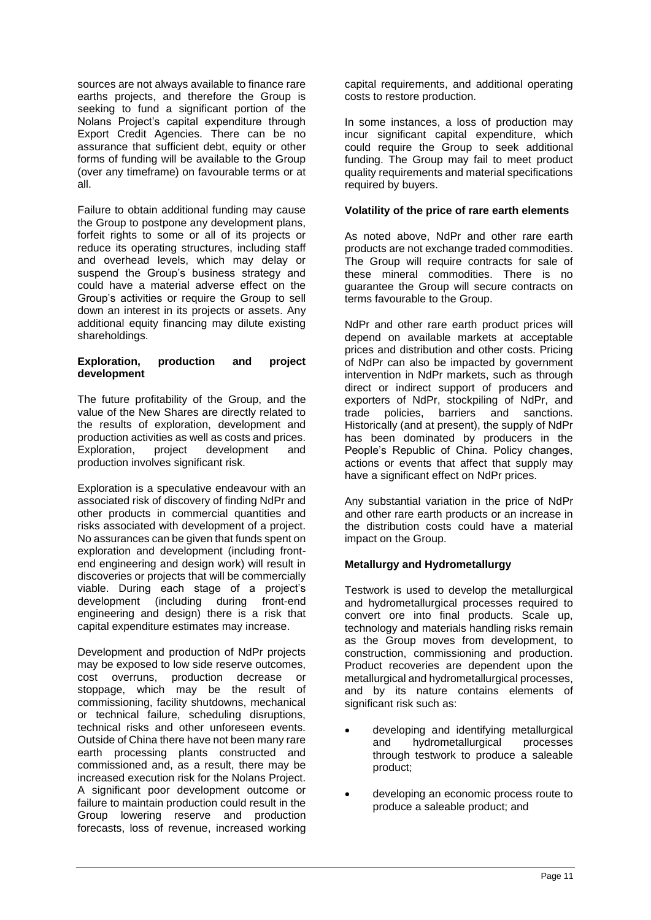sources are not always available to finance rare earths projects, and therefore the Group is seeking to fund a significant portion of the Nolans Project's capital expenditure through Export Credit Agencies. There can be no assurance that sufficient debt, equity or other forms of funding will be available to the Group (over any timeframe) on favourable terms or at all.

Failure to obtain additional funding may cause the Group to postpone any development plans, forfeit rights to some or all of its projects or reduce its operating structures, including staff and overhead levels, which may delay or suspend the Group's business strategy and could have a material adverse effect on the Group's activities or require the Group to sell down an interest in its projects or assets. Any additional equity financing may dilute existing shareholdings.

#### **Exploration, production and project development**

The future profitability of the Group, and the value of the New Shares are directly related to the results of exploration, development and production activities as well as costs and prices. Exploration, project development and production involves significant risk.

Exploration is a speculative endeavour with an associated risk of discovery of finding NdPr and other products in commercial quantities and risks associated with development of a project. No assurances can be given that funds spent on exploration and development (including frontend engineering and design work) will result in discoveries or projects that will be commercially viable. During each stage of a project's development (including engineering and design) there is a risk that capital expenditure estimates may increase.

Development and production of NdPr projects may be exposed to low side reserve outcomes, cost overruns, production decrease or stoppage, which may be the result of commissioning, facility shutdowns, mechanical or technical failure, scheduling disruptions, technical risks and other unforeseen events. Outside of China there have not been many rare earth processing plants constructed and commissioned and, as a result, there may be increased execution risk for the Nolans Project. A significant poor development outcome or failure to maintain production could result in the Group lowering reserve and production forecasts, loss of revenue, increased working

capital requirements, and additional operating costs to restore production.

In some instances, a loss of production may incur significant capital expenditure, which could require the Group to seek additional funding. The Group may fail to meet product quality requirements and material specifications required by buyers.

## **Volatility of the price of rare earth elements**

As noted above, NdPr and other rare earth products are not exchange traded commodities. The Group will require contracts for sale of these mineral commodities. There is no guarantee the Group will secure contracts on terms favourable to the Group.

NdPr and other rare earth product prices will depend on available markets at acceptable prices and distribution and other costs. Pricing of NdPr can also be impacted by government intervention in NdPr markets, such as through direct or indirect support of producers and exporters of NdPr, stockpiling of NdPr, and trade policies, barriers and sanctions. Historically (and at present), the supply of NdPr has been dominated by producers in the People's Republic of China. Policy changes, actions or events that affect that supply may have a significant effect on NdPr prices.

Any substantial variation in the price of NdPr and other rare earth products or an increase in the distribution costs could have a material impact on the Group.

# **Metallurgy and Hydrometallurgy**

Testwork is used to develop the metallurgical and hydrometallurgical processes required to convert ore into final products. Scale up, technology and materials handling risks remain as the Group moves from development, to construction, commissioning and production. Product recoveries are dependent upon the metallurgical and hydrometallurgical processes, and by its nature contains elements of significant risk such as:

- developing and identifying metallurgical and hydrometallurgical processes through testwork to produce a saleable product;
- developing an economic process route to produce a saleable product; and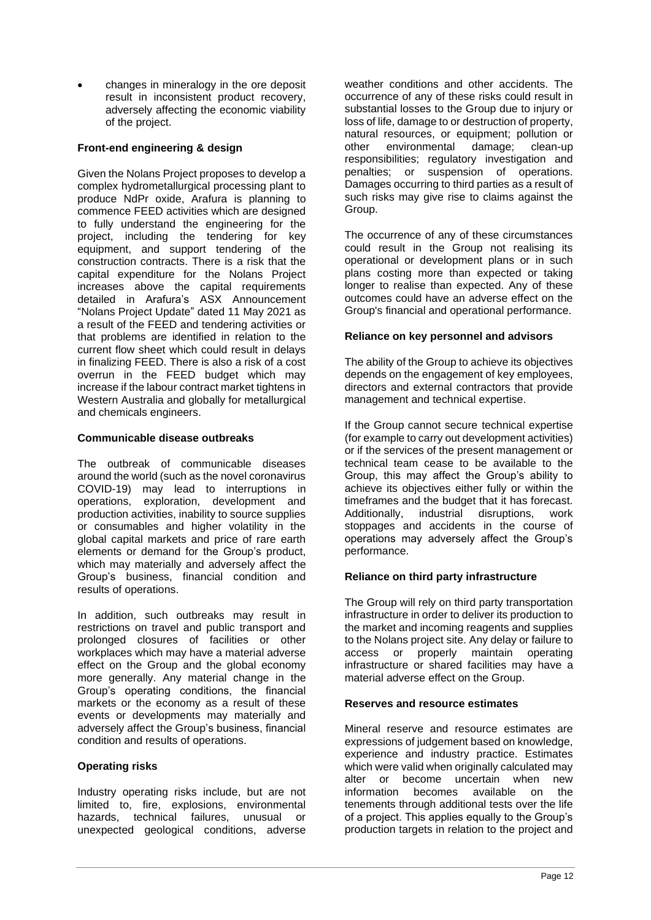• changes in mineralogy in the ore deposit result in inconsistent product recovery, adversely affecting the economic viability of the project.

# **Front-end engineering & design**

Given the Nolans Project proposes to develop a complex hydrometallurgical processing plant to produce NdPr oxide, Arafura is planning to commence FEED activities which are designed to fully understand the engineering for the project, including the tendering for key equipment, and support tendering of the construction contracts. There is a risk that the capital expenditure for the Nolans Project increases above the capital requirements detailed in Arafura's ASX Announcement "Nolans Project Update" dated 11 May 2021 as a result of the FEED and tendering activities or that problems are identified in relation to the current flow sheet which could result in delays in finalizing FEED. There is also a risk of a cost overrun in the FEED budget which may increase if the labour contract market tightens in Western Australia and globally for metallurgical and chemicals engineers.

## **Communicable disease outbreaks**

The outbreak of communicable diseases around the world (such as the novel coronavirus COVID-19) may lead to interruptions in operations, exploration, development and production activities, inability to source supplies or consumables and higher volatility in the global capital markets and price of rare earth elements or demand for the Group's product, which may materially and adversely affect the Group's business, financial condition and results of operations.

In addition, such outbreaks may result in restrictions on travel and public transport and prolonged closures of facilities or other workplaces which may have a material adverse effect on the Group and the global economy more generally. Any material change in the Group's operating conditions, the financial markets or the economy as a result of these events or developments may materially and adversely affect the Group's business, financial condition and results of operations.

#### **Operating risks**

Industry operating risks include, but are not limited to, fire, explosions, environmental hazards, technical failures, unusual or unexpected geological conditions, adverse

weather conditions and other accidents. The occurrence of any of these risks could result in substantial losses to the Group due to injury or loss of life, damage to or destruction of property, natural resources, or equipment; pollution or other environmental damage; clean-up responsibilities; regulatory investigation and penalties; or suspension of operations. Damages occurring to third parties as a result of such risks may give rise to claims against the Group.

The occurrence of any of these circumstances could result in the Group not realising its operational or development plans or in such plans costing more than expected or taking longer to realise than expected. Any of these outcomes could have an adverse effect on the Group's financial and operational performance.

## **Reliance on key personnel and advisors**

The ability of the Group to achieve its objectives depends on the engagement of key employees, directors and external contractors that provide management and technical expertise.

If the Group cannot secure technical expertise (for example to carry out development activities) or if the services of the present management or technical team cease to be available to the Group, this may affect the Group's ability to achieve its objectives either fully or within the timeframes and the budget that it has forecast. Additionally, industrial disruptions, work stoppages and accidents in the course of operations may adversely affect the Group's performance.

#### **Reliance on third party infrastructure**

The Group will rely on third party transportation infrastructure in order to deliver its production to the market and incoming reagents and supplies to the Nolans project site. Any delay or failure to access or properly maintain operating infrastructure or shared facilities may have a material adverse effect on the Group.

#### **Reserves and resource estimates**

Mineral reserve and resource estimates are expressions of judgement based on knowledge, experience and industry practice. Estimates which were valid when originally calculated may alter or become uncertain when new information becomes available on the tenements through additional tests over the life of a project. This applies equally to the Group's production targets in relation to the project and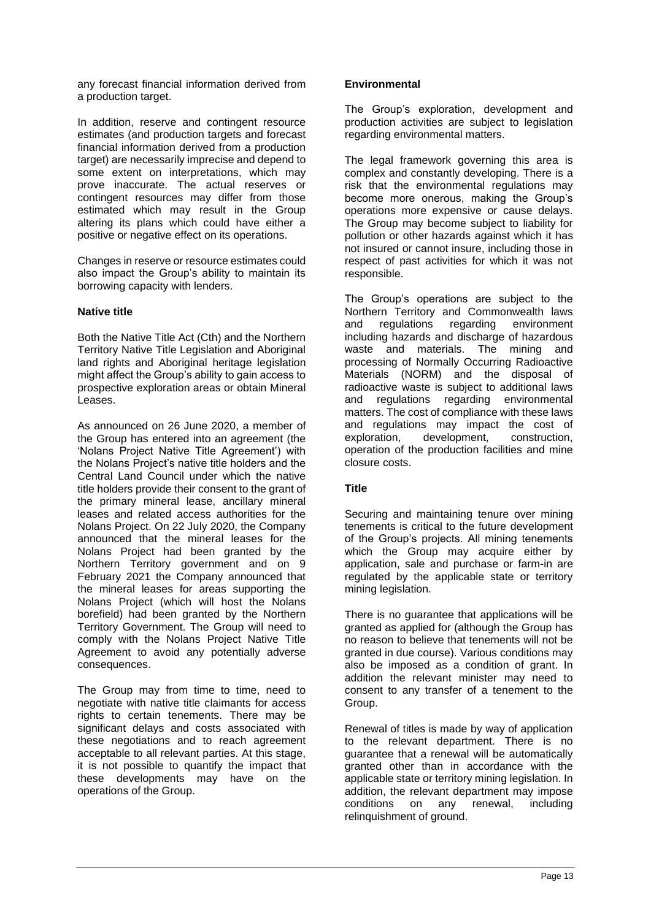any forecast financial information derived from a production target.

In addition, reserve and contingent resource estimates (and production targets and forecast financial information derived from a production target) are necessarily imprecise and depend to some extent on interpretations, which may prove inaccurate. The actual reserves or contingent resources may differ from those estimated which may result in the Group altering its plans which could have either a positive or negative effect on its operations.

Changes in reserve or resource estimates could also impact the Group's ability to maintain its borrowing capacity with lenders.

## **Native title**

Both the Native Title Act (Cth) and the Northern Territory Native Title Legislation and Aboriginal land rights and Aboriginal heritage legislation might affect the Group's ability to gain access to prospective exploration areas or obtain Mineral Leases.

As announced on 26 June 2020, a member of the Group has entered into an agreement (the 'Nolans Project Native Title Agreement') with the Nolans Project's native title holders and the Central Land Council under which the native title holders provide their consent to the grant of the primary mineral lease, ancillary mineral leases and related access authorities for the Nolans Project. On 22 July 2020, the Company announced that the mineral leases for the Nolans Project had been granted by the Northern Territory government and on 9 February 2021 the Company announced that the mineral leases for areas supporting the Nolans Project (which will host the Nolans borefield) had been granted by the Northern Territory Government. The Group will need to comply with the Nolans Project Native Title Agreement to avoid any potentially adverse consequences.

The Group may from time to time, need to negotiate with native title claimants for access rights to certain tenements. There may be significant delays and costs associated with these negotiations and to reach agreement acceptable to all relevant parties. At this stage, it is not possible to quantify the impact that these developments may have on the operations of the Group.

## **Environmental**

The Group's exploration, development and production activities are subject to legislation regarding environmental matters.

The legal framework governing this area is complex and constantly developing. There is a risk that the environmental regulations may become more onerous, making the Group's operations more expensive or cause delays. The Group may become subject to liability for pollution or other hazards against which it has not insured or cannot insure, including those in respect of past activities for which it was not responsible.

The Group's operations are subject to the Northern Territory and Commonwealth laws and regulations regarding environment including hazards and discharge of hazardous waste and materials. The mining and processing of Normally Occurring Radioactive Materials (NORM) and the disposal of radioactive waste is subject to additional laws and regulations regarding environmental matters. The cost of compliance with these laws and regulations may impact the cost of exploration, development, construction, exploration, development, operation of the production facilities and mine closure costs.

# **Title**

Securing and maintaining tenure over mining tenements is critical to the future development of the Group's projects. All mining tenements which the Group may acquire either by application, sale and purchase or farm-in are regulated by the applicable state or territory mining legislation.

There is no guarantee that applications will be granted as applied for (although the Group has no reason to believe that tenements will not be granted in due course). Various conditions may also be imposed as a condition of grant. In addition the relevant minister may need to consent to any transfer of a tenement to the Group.

Renewal of titles is made by way of application to the relevant department. There is no guarantee that a renewal will be automatically granted other than in accordance with the applicable state or territory mining legislation. In addition, the relevant department may impose conditions on any renewal, including relinquishment of ground.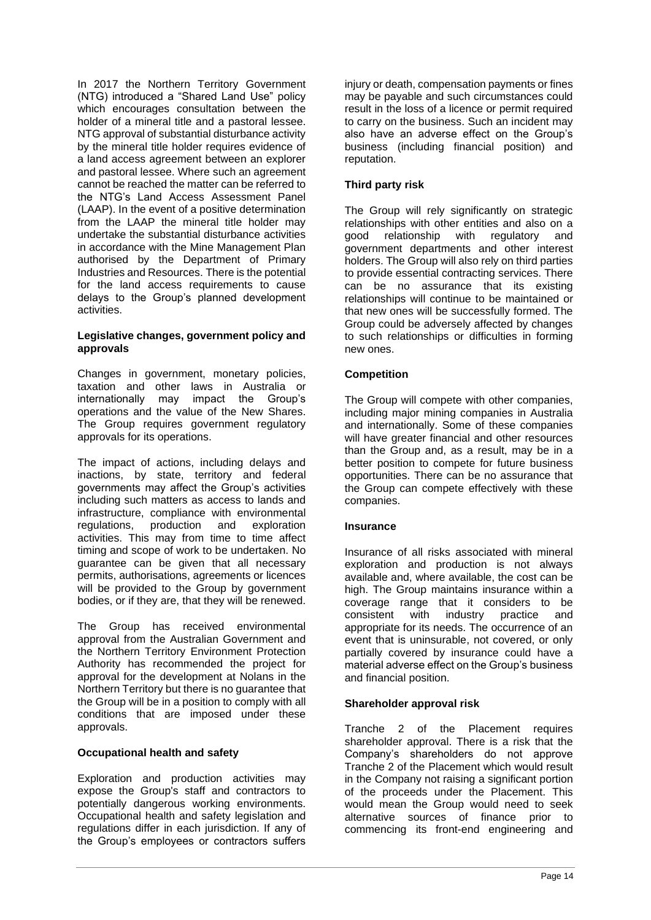In 2017 the Northern Territory Government (NTG) introduced a "Shared Land Use" policy which encourages consultation between the holder of a mineral title and a pastoral lessee. NTG approval of substantial disturbance activity by the mineral title holder requires evidence of a land access agreement between an explorer and pastoral lessee. Where such an agreement cannot be reached the matter can be referred to the NTG's Land Access Assessment Panel (LAAP). In the event of a positive determination from the LAAP the mineral title holder may undertake the substantial disturbance activities in accordance with the Mine Management Plan authorised by the Department of Primary Industries and Resources. There is the potential for the land access requirements to cause delays to the Group's planned development activities.

## **Legislative changes, government policy and approvals**

Changes in government, monetary policies, taxation and other laws in Australia or internationally may impact the Group's operations and the value of the New Shares. The Group requires government regulatory approvals for its operations.

The impact of actions, including delays and inactions, by state, territory and federal governments may affect the Group's activities including such matters as access to lands and infrastructure, compliance with environmental regulations, production and exploration activities. This may from time to time affect timing and scope of work to be undertaken. No guarantee can be given that all necessary permits, authorisations, agreements or licences will be provided to the Group by government bodies, or if they are, that they will be renewed.

The Group has received environmental approval from the Australian Government and the Northern Territory Environment Protection Authority has recommended the project for approval for the development at Nolans in the Northern Territory but there is no guarantee that the Group will be in a position to comply with all conditions that are imposed under these approvals.

#### **Occupational health and safety**

Exploration and production activities may expose the Group's staff and contractors to potentially dangerous working environments. Occupational health and safety legislation and regulations differ in each jurisdiction. If any of the Group's employees or contractors suffers

injury or death, compensation payments or fines may be payable and such circumstances could result in the loss of a licence or permit required to carry on the business. Such an incident may also have an adverse effect on the Group's business (including financial position) and reputation.

# **Third party risk**

The Group will rely significantly on strategic relationships with other entities and also on a<br>good relationship with regulatory and good relationship with regulatory and government departments and other interest holders. The Group will also rely on third parties to provide essential contracting services. There can be no assurance that its existing relationships will continue to be maintained or that new ones will be successfully formed. The Group could be adversely affected by changes to such relationships or difficulties in forming new ones.

## **Competition**

The Group will compete with other companies, including major mining companies in Australia and internationally. Some of these companies will have greater financial and other resources than the Group and, as a result, may be in a better position to compete for future business opportunities. There can be no assurance that the Group can compete effectively with these companies.

#### **Insurance**

Insurance of all risks associated with mineral exploration and production is not always available and, where available, the cost can be high. The Group maintains insurance within a coverage range that it considers to be<br>consistent with industry practice and practice and appropriate for its needs. The occurrence of an event that is uninsurable, not covered, or only partially covered by insurance could have a material adverse effect on the Group's business and financial position.

#### **Shareholder approval risk**

Tranche 2 of the Placement requires shareholder approval. There is a risk that the Company's shareholders do not approve Tranche 2 of the Placement which would result in the Company not raising a significant portion of the proceeds under the Placement. This would mean the Group would need to seek alternative sources of finance prior to commencing its front-end engineering and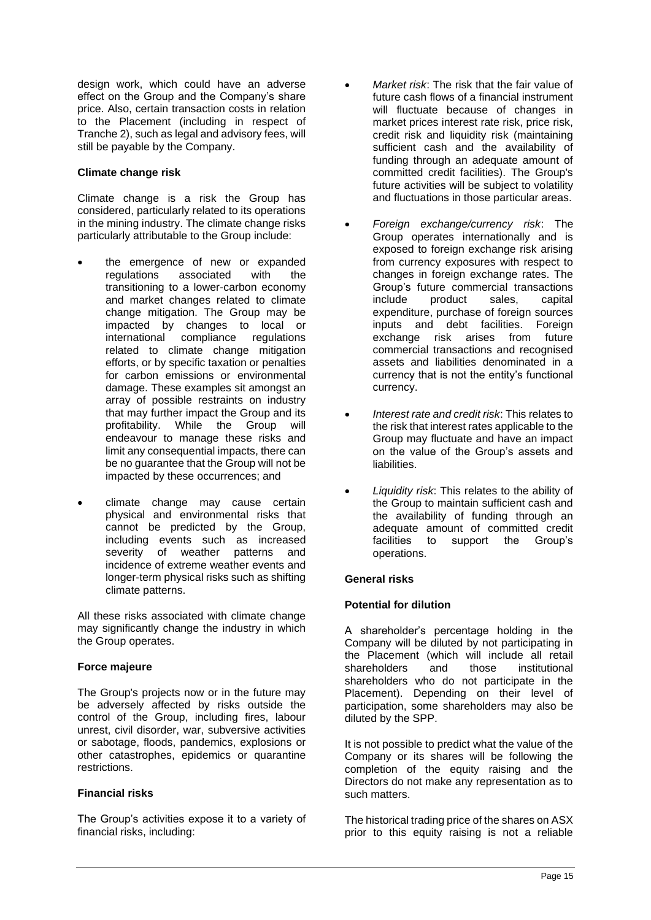design work, which could have an adverse effect on the Group and the Company's share price. Also, certain transaction costs in relation to the Placement (including in respect of Tranche 2), such as legal and advisory fees, will still be payable by the Company.

#### **Climate change risk**

Climate change is a risk the Group has considered, particularly related to its operations in the mining industry. The climate change risks particularly attributable to the Group include:

- the emergence of new or expanded<br>requilations associated with the regulations associated with the transitioning to a lower-carbon economy and market changes related to climate change mitigation. The Group may be impacted by changes to local or international compliance regulations related to climate change mitigation efforts, or by specific taxation or penalties for carbon emissions or environmental damage. These examples sit amongst an array of possible restraints on industry that may further impact the Group and its profitability. While the Group will endeavour to manage these risks and limit any consequential impacts, there can be no guarantee that the Group will not be impacted by these occurrences; and
- climate change may cause certain physical and environmental risks that cannot be predicted by the Group, including events such as increased severity of weather patterns and incidence of extreme weather events and longer-term physical risks such as shifting climate patterns.

All these risks associated with climate change may significantly change the industry in which the Group operates.

#### **Force majeure**

The Group's projects now or in the future may be adversely affected by risks outside the control of the Group, including fires, labour unrest, civil disorder, war, subversive activities or sabotage, floods, pandemics, explosions or other catastrophes, epidemics or quarantine restrictions.

#### **Financial risks**

The Group's activities expose it to a variety of financial risks, including:

- *Market risk*: The risk that the fair value of future cash flows of a financial instrument will fluctuate because of changes in market prices interest rate risk, price risk, credit risk and liquidity risk (maintaining sufficient cash and the availability of funding through an adequate amount of committed credit facilities). The Group's future activities will be subject to volatility and fluctuations in those particular areas.
- *Foreign exchange/currency risk*: The Group operates internationally and is exposed to foreign exchange risk arising from currency exposures with respect to changes in foreign exchange rates. The Group's future commercial transactions include product sales, capital expenditure, purchase of foreign sources inputs and debt facilities. Foreign exchange risk arises from future commercial transactions and recognised assets and liabilities denominated in a currency that is not the entity's functional currency.
- *Interest rate and credit risk*: This relates to the risk that interest rates applicable to the Group may fluctuate and have an impact on the value of the Group's assets and liabilities.
- *Liquidity risk*: This relates to the ability of the Group to maintain sufficient cash and the availability of funding through an adequate amount of committed credit facilities to support the Group's operations.

#### **General risks**

#### **Potential for dilution**

A shareholder's percentage holding in the Company will be diluted by not participating in the Placement (which will include all retail shareholders and those institutional shareholders who do not participate in the Placement). Depending on their level of participation, some shareholders may also be diluted by the SPP.

It is not possible to predict what the value of the Company or its shares will be following the completion of the equity raising and the Directors do not make any representation as to such matters.

The historical trading price of the shares on ASX prior to this equity raising is not a reliable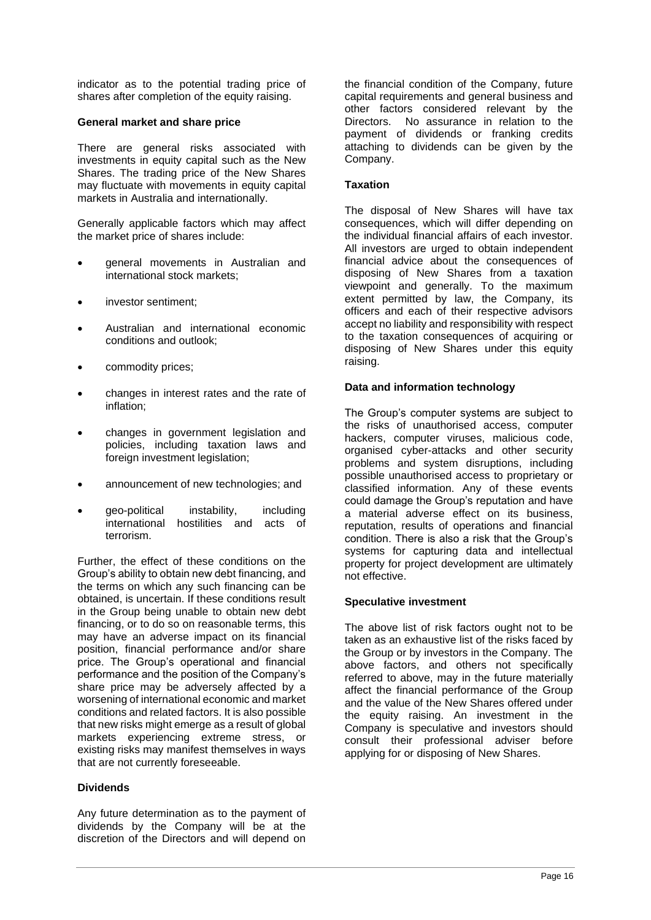indicator as to the potential trading price of shares after completion of the equity raising.

#### **General market and share price**

There are general risks associated with investments in equity capital such as the New Shares. The trading price of the New Shares may fluctuate with movements in equity capital markets in Australia and internationally.

Generally applicable factors which may affect the market price of shares include:

- general movements in Australian and international stock markets;
- investor sentiment;
- Australian and international economic conditions and outlook;
- commodity prices;
- changes in interest rates and the rate of inflation;
- changes in government legislation and policies, including taxation laws and foreign investment legislation;
- announcement of new technologies; and
- geo-political instability, including international hostilities and acts of terrorism.

Further, the effect of these conditions on the Group's ability to obtain new debt financing, and the terms on which any such financing can be obtained, is uncertain. If these conditions result in the Group being unable to obtain new debt financing, or to do so on reasonable terms, this may have an adverse impact on its financial position, financial performance and/or share price. The Group's operational and financial performance and the position of the Company's share price may be adversely affected by a worsening of international economic and market conditions and related factors. It is also possible that new risks might emerge as a result of global markets experiencing extreme stress, or existing risks may manifest themselves in ways that are not currently foreseeable.

#### **Dividends**

Any future determination as to the payment of dividends by the Company will be at the discretion of the Directors and will depend on the financial condition of the Company, future capital requirements and general business and other factors considered relevant by the Directors. No assurance in relation to the payment of dividends or franking credits attaching to dividends can be given by the Company.

#### **Taxation**

The disposal of New Shares will have tax consequences, which will differ depending on the individual financial affairs of each investor. All investors are urged to obtain independent financial advice about the consequences of disposing of New Shares from a taxation viewpoint and generally. To the maximum extent permitted by law, the Company, its officers and each of their respective advisors accept no liability and responsibility with respect to the taxation consequences of acquiring or disposing of New Shares under this equity raising.

#### **Data and information technology**

The Group's computer systems are subject to the risks of unauthorised access, computer hackers, computer viruses, malicious code, organised cyber-attacks and other security problems and system disruptions, including possible unauthorised access to proprietary or classified information. Any of these events could damage the Group's reputation and have a material adverse effect on its business, reputation, results of operations and financial condition. There is also a risk that the Group's systems for capturing data and intellectual property for project development are ultimately not effective.

#### **Speculative investment**

The above list of risk factors ought not to be taken as an exhaustive list of the risks faced by the Group or by investors in the Company. The above factors, and others not specifically referred to above, may in the future materially affect the financial performance of the Group and the value of the New Shares offered under the equity raising. An investment in the Company is speculative and investors should consult their professional adviser before applying for or disposing of New Shares.